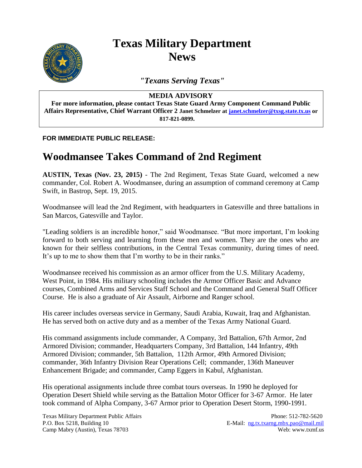

## **Texas Military Department News**

*"Texans Serving Texas"*

## **MEDIA ADVISORY**

**For more information, please contact Texas State Guard Army Component Command Public Affairs Representative, Chief Warrant Officer 2 Janet Schmelzer at [janet.schmelzer@txsg.state.tx.us](mailto:janet.schmelzer@txsg.state.tx.us) or 817-821-0899.**

## **FOR IMMEDIATE PUBLIC RELEASE:**

## **Woodmansee Takes Command of 2nd Regiment**

**AUSTIN, Texas (Nov. 23, 2015)** - The 2nd Regiment, Texas State Guard, welcomed a new commander, Col. Robert A. Woodmansee, during an assumption of command ceremony at Camp Swift, in Bastrop, Sept. 19, 2015.

Woodmansee will lead the 2nd Regiment, with headquarters in Gatesville and three battalions in San Marcos, Gatesville and Taylor.

"Leading soldiers is an incredible honor," said Woodmansee. "But more important, I'm looking forward to both serving and learning from these men and women. They are the ones who are known for their selfless contributions, in the Central Texas community, during times of need. It's up to me to show them that I'm worthy to be in their ranks."

Woodmansee received his commission as an armor officer from the U.S. Military Academy, West Point, in 1984. His military schooling includes the Armor Officer Basic and Advance courses, Combined Arms and Services Staff School and the Command and General Staff Officer Course. He is also a graduate of Air Assault, Airborne and Ranger school.

His career includes overseas service in Germany, Saudi Arabia, Kuwait, Iraq and Afghanistan. He has served both on active duty and as a member of the Texas Army National Guard.

His command assignments include commander, A Company, 3rd Battalion, 67th Armor, 2nd Armored Division; commander, Headquarters Company, 3rd Battalion, 144 Infantry, 49th Armored Division; commander, 5th Battalion, 112th Armor, 49th Armored Division; commander, 36th Infantry Division Rear Operations Cell; commander, 136th Maneuver Enhancement Brigade; and commander, Camp Eggers in Kabul, Afghanistan.

His operational assignments include three combat tours overseas. In 1990 he deployed for Operation Desert Shield while serving as the Battalion Motor Officer for 3-67 Armor. He later took command of Alpha Company, 3-67 Armor prior to Operation Desert Storm, 1990-1991.

Texas Military Department Public Affairs **Phone: 512-782-5620** P.O. Box 5218, Building 10 E-Mail: ng.tx.txarng.mbx.pao@mail.mil Camp Mabry (Austin), Texas 78703 Web: www.txmf.us